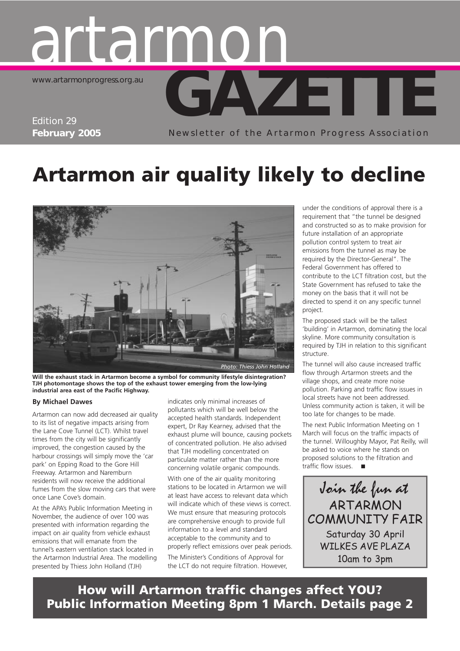# Edition 29 Edition 29**GAZET** artarmon www.artarmonprogress.org.au www.artarmonprogress.org.auFebruary 2005<br>
February 2005<br>
Respection 29<br> **GAZETTE**

Newsletter of the Artarmon Progress Association

## **Artarmon air quality likely to decline**



**Will the exhaust stack in Artarmon become a symbol for community lifestyle disintegration? TJH photomontage shows the top of the exhaust tower emerging from the low-lying industrial area east of the Pacific Highway.** *Pacific Highway.*

### **By Michael Dawes**

**February 2005 February 2005**

Artarmon can now add decreased air quality to its list of negative impacts arising from the Lane Cove Tunnel (LCT). Whilst travel times from the city will be significantly improved, the congestion caused by the harbour crossings will simply move the 'car park' on Epping Road to the Gore Hill Freeway. Artarmon and Naremburn residents will now receive the additional fumes from the slow moving cars that were once Lane Cove's domain.

At the APA's Public Information Meeting in November, the audience of over 100 was presented with information regarding the impact on air quality from vehicle exhaust emissions that will emanate from the tunnel's eastern ventilation stack located in the Artarmon Industrial Area. The modelling presented by Thiess John Holland (TJH)

indicates only minimal increases of pollutants which will be well below the accepted health standards. Independent expert, Dr Ray Kearney, advised that the exhaust plume will bounce, causing pockets of concentrated pollution. He also advised that TJH modelling concentrated on particulate matter rather than the more concerning volatile organic compounds.

With one of the air quality monitoring stations to be located in Artarmon we will at least have access to relevant data which will indicate which of these views is correct. We must ensure that measuring protocols are comprehensive enough to provide full information to a level and standard acceptable to the community and to properly reflect emissions over peak periods. The Minister's Conditions of Approval for the LCT do not require filtration. However,

under the conditions of approval there is a requirement that "the tunnel be designed and constructed so as to make provision for future installation of an appropriate pollution control system to treat air emissions from the tunnel as may be required by the Director-General". The Federal Government has offered to contribute to the LCT filtration cost, but the State Government has refused to take the money on the basis that it will not be directed to spend it on any specific tunnel project.

The proposed stack will be the tallest 'building' in Artarmon, dominating the local skyline. More community consultation is required by TJH in relation to this significant structure.

The tunnel will also cause increased traffic flow through Artarmon streets and the village shops, and create more noise pollution. Parking and traffic flow issues in local streets have not been addressed. Unless community action is taken, it will be too late for changes to be made.

The next Public Information Meeting on 1 March will focus on the traffic impacts of the tunnel. Willoughby Mayor, Pat Reilly, will be asked to voice where he stands on proposed solutions to the filtration and traffic flow issues. ■

ARTARMON COMMUNITY FAIR Saturday 30 April WILKES AVE PLAZA 10am to 3pm Join the fun at

**How will Artarmon traffic changes affect YOU? Public Information Meeting 8pm 1 March. Details page 2**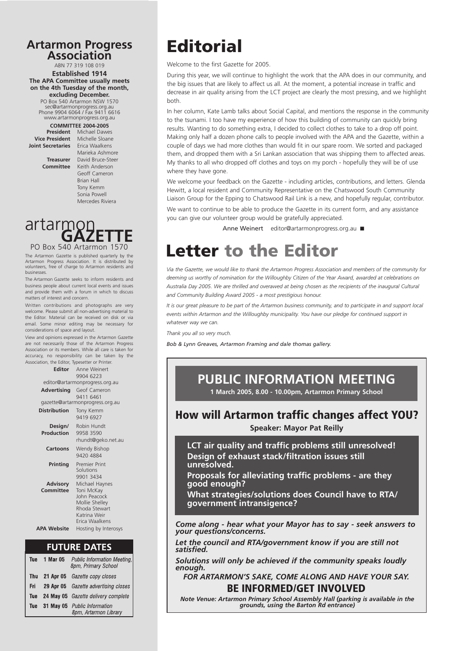## **Artarmon Progress Association**

ABN 77 319 108 019 **Established 1914 The APA Committee usually meets on the 4th Tuesday of the month, excluding December.**

PO Box 540 Artarmon NSW 1570 sec@artarmonprogress.org.au Phone 9904 6064 / Fax 9411 6616 www.artarmonprogress.org.au

**COMMITTEE 2004-2005**

**President** Michael Dawes **Vice President** Michelle Sloane **Joint Secretaries** Erica Waalkens Marieka Ashmore **Treasurer** David Bruce-Steer **Committee** Keith Anderson Geoff Cameron Brian Hall Tony Kemm Sonia Powell Mercedes Riviera

## PO Box 540 Artarmon 1570 **GAZETTE** artarmon

The Artarmon Gazette is published quarterly by the Artarmon Progress Association. It is distributed by volunteers, free of charge to Artarmon residents and businesses.

The Artarmon Gazette seeks to inform residents and business people about current local events and issues and provide them with a forum in which to discuss matters of interest and concern.

Written contributions and photographs are very welcome. Please submit all non-advertising material to the Editor. Material can be received on disk or via email. Some minor editing may be necessary for considerations of space and layout.

View and opinions expressed in the Artarmon Gazette are not necessarily those of the Artarmon Progress Association or its members. While all care is taken for accuracy, no responsibility can be taken by the Association, the Editor, Typesetter or Printer.

|                                | <b>Editor</b> Anne Weinert      |  |  |  |
|--------------------------------|---------------------------------|--|--|--|
|                                | 9904 6223                       |  |  |  |
| editor@artarmonprogress.org.au |                                 |  |  |  |
| <b>Advertising</b>             | Geof Cameron                    |  |  |  |
|                                | 9411 6461                       |  |  |  |
|                                | gazette@artarmonprogress.org.au |  |  |  |
| <b>Distribution</b>            | Tony Kemm                       |  |  |  |
|                                | 9419 6927                       |  |  |  |
| Design/                        | Robin Hundt                     |  |  |  |
| <b>Production</b>              | 9958 3590                       |  |  |  |
|                                | rhundt@geko.net.au              |  |  |  |
| Cartoons                       | Wendy Bishop                    |  |  |  |
|                                | 9420 4884                       |  |  |  |
| Printing                       | <b>Premier Print</b>            |  |  |  |
|                                | Solutions                       |  |  |  |
|                                | 9901 3434                       |  |  |  |
| <b>Advisory</b>                | Michael Haynes                  |  |  |  |
| Committee                      | Toni McKay                      |  |  |  |
|                                | John Peacock                    |  |  |  |
|                                | Mollie Shelley                  |  |  |  |
|                                | Rhoda Stewart<br>Katrina Weir   |  |  |  |
|                                | Erica Waalkens                  |  |  |  |
|                                |                                 |  |  |  |
| <b>APA Website</b>             | Hosting by Interosys            |  |  |  |

**FUTURE DATES** 

| Tue        | 1 Mar 05 | <b>Public Information Meeting.</b><br>8pm, Primary School |  |
|------------|----------|-----------------------------------------------------------|--|
| <b>Thu</b> |          | 21 Apr 05 Gazette copy closes                             |  |
| Fri I      |          | <b>29 Apr 05</b> Gazette advertising closes               |  |
| Tue        |          | <b>24 May 05</b> Gazette delivery complete                |  |
|            |          | Tue 31 May 05 Public Information<br>8pm, Artarmon Library |  |

## **Editorial**

Welcome to the first Gazette for 2005.

During this year, we will continue to highlight the work that the APA does in our community, and the big issues that are likely to affect us all. At the moment, a potential increase in traffic and decrease in air quality arising from the LCT project are clearly the most pressing, and we highlight both.

In her column, Kate Lamb talks about Social Capital, and mentions the response in the community to the tsunami. I too have my experience of how this building of community can quickly bring results. Wanting to do something extra, I decided to collect clothes to take to a drop off point. Making only half a dozen phone calls to people involved with the APA and the Gazette, within a couple of days we had more clothes than would fit in our spare room. We sorted and packaged them, and dropped them with a Sri Lankan association that was shipping them to affected areas. My thanks to all who dropped off clothes and toys on my porch - hopefully they will be of use where they have gone.

We welcome your feedback on the Gazette - including articles, contributions, and letters. Glenda Hewitt, a local resident and Community Representative on the Chatswood South Community Liaison Group for the Epping to Chatswood Rail Link is a new, and hopefully regular, contributor.

We want to continue to be able to produce the Gazette in its current form, and any assistance you can give our volunteer group would be gratefully appreciated.

Anne Weinert editor@artarmonprogress.org.au ■

## **Letter to the Editor**

*Via the Gazette, we would like to thank the Artarmon Progress Association and members of the community for deeming us worthy of nomination for the Willoughby Citizen of the Year Award, awarded at celebrations on Australia Day 2005. We are thrilled and overawed at being chosen as the recipients of the inaugural Cultural and Community Building Award 2005 - a most prestigious honour.*

*It is our great pleasure to be part of the Artarmon business community, and to participate in and support local events within Artarmon and the Willoughby municipality. You have our pledge for continued support in whatever way we can.*

*Thank you all so very much.*

*Bob & Lynn Greaves, Artarmon Framing and dale thomas gallery.*

## **PUBLIC INFORMATION MEETING**

**1 March 2005, 8.00 - 10.00pm, Artarmon Primary School**

### **How will Artarmon traffic changes affect YOU?**

**Speaker: Mayor Pat Reilly**

**LCT air quality and traffic problems still unresolved! Design of exhaust stack/filtration issues still unresolved.**

**Proposals for alleviating traffic problems - are they good enough?**

**What strategies/solutions does Council have to RTA/ government intransigence?**

*Come along - hear what your Mayor has to say - seek answers to your questions/concerns.*

*Let the council and RTA/government know if you are still not satisfied.*

*Solutions will only be achieved if the community speaks loudly enough.*

*FOR ARTARMON'S SAKE, COME ALONG AND HAVE YOUR SAY.* **BE INFORMED/GET INVOLVED**

*Note Venue: Artarmon Primary School Assembly Hall (parking is available in the grounds, using the Barton Rd entrance)*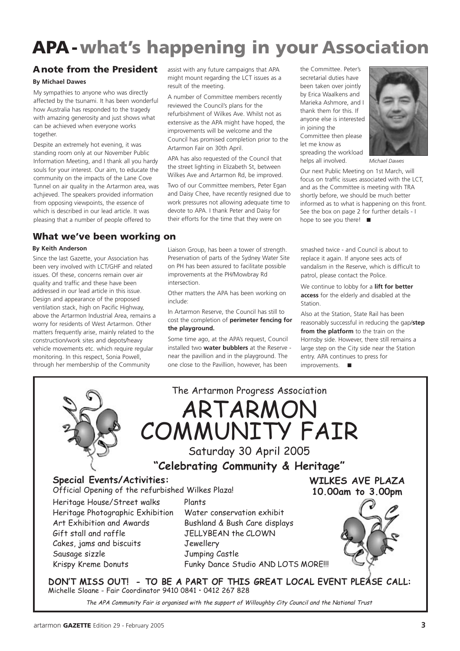## **APA-what's happening in your Association**

### **Anote from the President**

#### **By Michael Dawes**

My sympathies to anyone who was directly affected by the tsunami. It has been wonderful how Australia has responded to the tragedy with amazing generosity and just shows what can be achieved when everyone works together.

Despite an extremely hot evening, it was standing room only at our November Public Information Meeting, and I thank all you hardy souls for your interest. Our aim, to educate the community on the impacts of the Lane Cove Tunnel on air quality in the Artarmon area, was achjieved. The speakers provided information from opposing viewpoints, the essence of which is described in our lead article. It was pleasing that a number of people offered to

### **What we've been working on**

### **By Keith Anderson**

Since the last Gazette, your Association has been very involved with LCT/GHF and related issues. Of these, concerns remain over air quality and traffic and these have been addressed in our lead article in this issue. Design and appearance of the proposed ventilation stack, high on Pacific Highway, above the Artarmon Industrial Area, remains a worry for residents of West Artarmon. Other matters frequently arise, mainly related to the construction/work sites and depots/heavy vehicle movements etc. which require regular monitoring. In this respect, Sonia Powell, through her membership of the Community

assist with any future campaigns that APA might mount regarding the LCT issues as a result of the meeting.

A number of Committee members recently reviewed the Council's plans for the refurbishment of Wilkes Ave. Whilst not as extensive as the APA might have hoped, the improvements will be welcome and the Council has promised completion prior to the Artarmon Fair on 30th April.

APA has also requested of the Council that the street lighting in Elizabeth St, between Wilkes Ave and Artarmon Rd, be improved.

Two of our Committee members, Peter Egan and Daisy Chee, have recently resigned due to work pressures not allowing adequate time to devote to APA. I thank Peter and Daisy for their efforts for the time that they were on

the Committee. Peter's secretarial duties have been taken over jointly by Erica Waalkens and Marieka Ashmore, and I thank them for this. If anyone else is interested in joining the Committee then please let me know as spreading the workload helps all involved.



*Michael Dawes*

Our next Public Meeting on 1st March, will focus on traffic issues associated with the LCT, and as the Committee is meeting with TRA shortly before, we should be much better informed as to what is happening on this front. See the box on page 2 for further details - I hope to see you there! ■

Liaison Group, has been a tower of strength. Preservation of parts of the Sydney Water Site on PH has been assured to facilitate possible improvements at the PH/Mowbray Rd intersection.

Other matters the APA has been working on include:

In Artarmon Reserve, the Council has still to cost the completion of **perimeter fencing for the playground.**

Some time ago, at the APA's request, Council installed two **water bubblers** at the Reserve near the pavillion and in the playground. The one close to the Pavillion, however, has been

smashed twice - and Council is about to replace it again. If anyone sees acts of vandalism in the Reserve, which is difficult to patrol, please contact the Police.

We continue to lobby for a **lift for better access** for the elderly and disabled at the **Station** 

Also at the Station, State Rail has been reasonably successful in reducing the gap/**step from the platform** to the train on the Hornsby side. However, there still remains a large step on the City side near the Station entry. APA continues to press for improvements. ■



The APA Community Fair is organised with the support of Willoughby City Council and the National Trust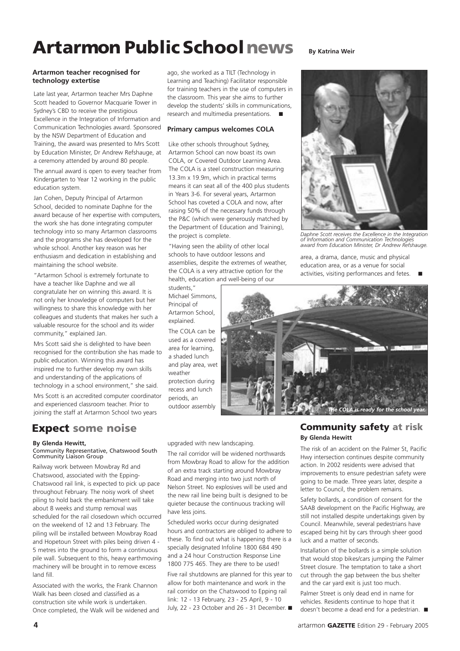## **Artarmon Public Schoolnews By Katrina Weir**

**Artarmon teacher recognised for technology extertise**

Late last year, Artarmon teacher Mrs Daphne Scott headed to Governor Macquarie Tower in Sydney's CBD to receive the prestigious Excellence in the Integration of Information and Communication Technologies award. Sponsored by the NSW Department of Education and Training, the award was presented to Mrs Scott by Education Minister, Dr Andrew Refshauge, at a ceremony attended by around 80 people.

The annual award is open to every teacher from Kindergarten to Year 12 working in the public education system.

Jan Cohen, Deputy Principal of Artarmon School, decided to nominate Daphne for the award because of her expertise with computers, the work she has done integrating computer technology into so many Artarmon classrooms and the programs she has developed for the whole school. Another key reason was her enthusiasm and dedication in establishing and maintaining the school website.

"Artarmon School is extremely fortunate to have a teacher like Daphne and we all congratulate her on winning this award. It is not only her knowledge of computers but her willingness to share this knowledge with her colleagues and students that makes her such a valuable resource for the school and its wider community," explained Jan.

Mrs Scott said she is delighted to have been recognised for the contribution she has made to public education. Winning this award has inspired me to further develop my own skills and understanding of the applications of technology in a school environment," she said.

Mrs Scott is an accredited computer coordinator and experienced classroom teacher. Prior to joining the staff at Artarmon School two years

### **Expect some noise**

#### **By Glenda Hewitt,**

#### Community Representative, Chatswood South Community Liaison Group

Railway work between Mowbray Rd and Chatswood, associated with the Epping-Chatswood rail link, is expected to pick up pace throughout February. The noisy work of sheet piling to hold back the embankment will take about 8 weeks and stump removal was scheduled for the rail closedown which occurred on the weekend of 12 and 13 February. The piling will be installed between Mowbray Road and Hopetoun Street with piles being driven 4 - 5 metres into the ground to form a continuous pile wall. Subsequent to this, heavy earthmoving machinery will be brought in to remove excess land fill.

Associated with the works, the Frank Channon Walk has been closed and classified as a construction site while work is undertaken. Once completed, the Walk will be widened and ago, she worked as a TILT (Technology in Learning and Teaching) Facilitator responsible for training teachers in the use of computers in the classroom. This year she aims to further develop the students' skills in communications, research and multimedia presentations. ■

### **Primary campus welcomes COLA**

Like other schools throughout Sydney, Artarmon School can now boast its own COLA, or Covered Outdoor Learning Area. The COLA is a steel construction measuring 13.3m x 19.9m, which in practical terms means it can seat all of the 400 plus students in Years 3-6. For several years, Artarmon School has coveted a COLA and now, after raising 50% of the necessary funds through the P&C (which were generously matched by the Department of Education and Training), the project is complete.

"Having seen the ability of other local schools to have outdoor lessons and assemblies, despite the extremes of weather, the COLA is a very attractive option for the health, education and well-being of our

students," Michael Simmons, Principal of Artarmon School, explained.

The COLA can be used as a covered area for learning, a shaded lunch and play area, wet weather protection during recess and lunch periods, an outdoor assembly

upgraded with new landscaping.

The rail corridor will be widened northwards from Mowbray Road to allow for the addition of an extra track starting around Mowbray Road and merging into two just north of Nelson Street. No explosives will be used and the new rail line being built is designed to be quieter because the continuous tracking will have less joins.

Scheduled works occur during designated hours and contractors are obliged to adhere to these. To find out what is happening there is a specially designated Infoline 1800 684 490 and a 24 hour Construction Response Line 1800 775 465. They are there to be used!

Five rail shutdowns are planned for this year to allow for both maintenance and work in the rail corridor on the Chatswood to Epping rail link: 12 - 13 February, 23 - 25 April, 9 - 10 July, 22 - 23 October and 26 - 31 December. ■



*Daphne Scott receives the Excellence in the Integration of Information and Communication Technologies award from Education Minister, Dr Andrew Refshauge.*

area, a drama, dance, music and physical education area, or as a venue for social activities, visiting performances and fetes.



### **Community safety at risk By Glenda Hewitt**

The risk of an accident on the Palmer St, Pacific Hwy intersection continues despite community action. In 2002 residents were advised that improvements to ensure pedestrian safety were going to be made. Three years later, despite a letter to Council, the problem remains.

Safety bollards, a condition of consent for the SAAB development on the Pacific Highway, are still not installed despite undertakings given by Council. Meanwhile, several pedestrians have escaped being hit by cars through sheer good luck and a matter of seconds.

Installation of the bollards is a simple solution that would stop bikes/cars jumping the Palmer Street closure. The temptation to take a short cut through the gap between the bus shelter and the car yard exit is just too much.

Palmer Street is only dead end in name for vehicles. Residents continue to hope that it doesn't become a dead end for a pedestrian. ■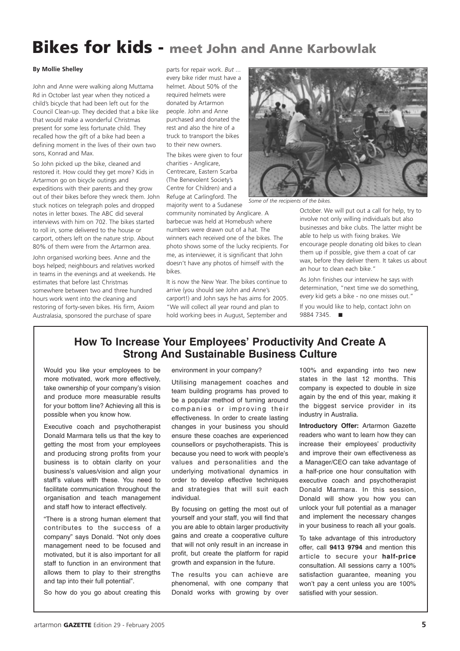## **Bikes for kids - meet John and Anne Karbowlak**

#### **By Mollie Shelley**

John and Anne were walking along Muttama Rd in October last year when they noticed a child's bicycle that had been left out for the Council Clean-up. They decided that a bike like that would make a wonderful Christmas present for some less fortunate child. They recalled how the gift of a bike had been a defining moment in the lives of their own two sons, Konrad and Max.

So John picked up the bike, cleaned and restored it. How could they get more? Kids in Artarmon go on bicycle outings and expeditions with their parents and they grow out of their bikes before they wreck them. John stuck notices on telegraph poles and dropped notes in letter boxes. The ABC did several interviews with him on 702. The bikes started to roll in, some delivered to the house or carport, others left on the nature strip. About 80% of them were from the Artarmon area.

John organised working bees. Anne and the boys helped; neighbours and relatives worked in teams in the evenings and at weekends. He estimates that before last Christmas somewhere between two and three hundred hours work went into the cleaning and restoring of forty-seven bikes. His firm, Axiom Australasia, sponsored the purchase of spare

parts for repair work. *But* ... every bike rider must have a helmet. About 50% of the required helmets were donated by Artarmon people. John and Anne purchased and donated the rest and also the hire of a truck to transport the bikes to their new owners.

The bikes were given to four charities - Anglicare, Centrecare, Eastern Scarba (The Benevolent Society's Centre for Children) and a Refuge at Carlingford. The majority went to a Sudanese

community nominated by Anglicare. A barbecue was held at Homebush where numbers were drawn out of a hat. The winners each received one of the bikes. The photo shows some of the lucky recipients. For me, as interviewer, it is significant that John doesn't have any photos of himself with the bikes.

It is now the New Year. The bikes continue to arrive (you should see John and Anne's carport!) and John says he has aims for 2005. "We will collect all year round and plan to hold working bees in August, September and



*Some of the recipients of the bikes.*

October. We will put out a call for help, try to involve not only willing individuals but also businesses and bike clubs. The latter might be able to help us with fixing brakes. We encourage people donating old bikes to clean them up if possible, give them a coat of car wax, before they deliver them. It takes us about an hour to clean each bike."

As John finishes our interview he says with determination, "next time we do something, *every* kid gets a bike - no one misses out."

If you would like to help, contact John on 9884 7345. ■

### **How To Increase Your Employees' Productivity And Create A Strong And Sustainable Business Culture**

Would you like your employees to be more motivated, work more effectively, take ownership of your company's vision and produce more measurable results for your bottom line? Achieving all this is possible when you know how.

Executive coach and psychotherapist Donald Marmara tells us that the key to getting the most from your employees and producing strong profits from your business is to obtain clarity on your business's values/vision and align your staff's values with these. You need to facilitate communication throughout the organisation and teach management and staff how to interact effectively.

"There is a strong human element that contributes to the success of a company" says Donald. "Not only does management need to be focused and motivated, but it is also important for all staff to function in an environment that allows them to play to their strengths and tap into their full potential".

So how do you go about creating this

environment in your company?

Utilising management coaches and team building programs has proved to be a popular method of turning around companies or improving their effectiveness. In order to create lasting changes in your business you should ensure these coaches are experienced counsellors or psychotherapists. This is because you need to work with people's values and personalities and the underlying motivational dynamics in order to develop effective techniques and strategies that will suit each individual.

By focusing on getting the most out of yourself and your staff, you will find that you are able to obtain larger productivity gains and create a cooperative culture that will not only result in an increase in profit, but create the platform for rapid growth and expansion in the future.

The results you can achieve are phenomenal, with one company that Donald works with growing by over

100% and expanding into two new states in the last 12 months. This company is expected to double in size again by the end of this year, making it the biggest service provider in its industry in Australia.

**Introductory Offer:** Artarmon Gazette readers who want to learn how they can increase their employees' productivity and improve their own effectiveness as a Manager/CEO can take advantage of a half-price one hour consultation with executive coach and psychotherapist Donald Marmara. In this session, Donald will show you how you can unlock your full potential as a manager and implement the necessary changes in your business to reach all your goals.

To take advantage of this introductory offer, call **9413 9794** and mention this article to secure your **half-price** consultation. All sessions carry a 100% satisfaction guarantee, meaning you won't pay a cent unless you are 100% satisfied with your session.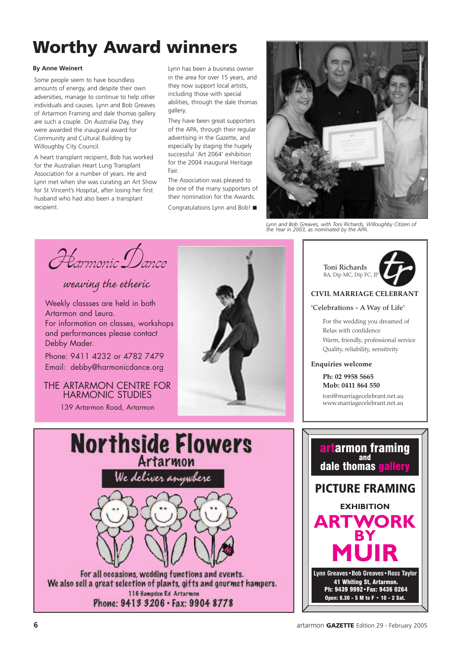## **Worthy Award winners**

### **By Anne Weinert**

Some people seem to have boundless amounts of energy, and despite their own adversities, manage to continue to help other individuals and causes. Lynn and Bob Greaves of Artarmon Framing and dale thomas gallery are such a couple. On Australia Day, they were awarded the inaugural award for Community and Cultural Building by Willoughby City Council.

A heart transplant recipient, Bob has worked for the Australian Heart Lung Transplant Association for a number of years. He and Lynn met when she was curating an Art Show for St Vincent's Hospital, after losing her first husband who had also been a transplant recipient.

Lynn has been a business owner in the area for over 15 years, and they now support local artists, including those with special abilities, through the dale thomas gallery.

They have been great supporters of the APA, through their regular advertising in the Gazette, and especially by staging the hugely successful 'Art 2064' exhibition for the 2004 inaugural Heritage Fair.

The Association was pleased to be one of the many supporters of their nomination for the Awards. Congratulations Lynn and Bob! ■



*Lynn and Bob Greaves, with Toni Richards, Willoughby Citizen of the Year in 2003, as nominated by the APA.*

*Harmonic Dance*

### *weaving the etheric*

Weekly classses are held in both Artarmon and Leura. For information on classes, workshops and performances please contact Debby Mader.

Phone: 9411 4232 or 4782 7479 Email: debby@harmonicdance.org

THE ARTARMON CENTRE FOR HARMONIC STUDIES 139 Artarmon Road, Artarmon





### **CIVIL MARRIAGE CELEBRANT**

### **'Celebrations - A Way of Life'**

For the wedding you dreamed of Relax with confidence Warm, friendly, professional service Quality, reliability, sensitivity

#### **Enquiries welcome**

**Ph: 02 9958 5665 Mob: 0411 864 550**

toni@marriagecelebrant.net.au www.marriagecelebrant.net.au



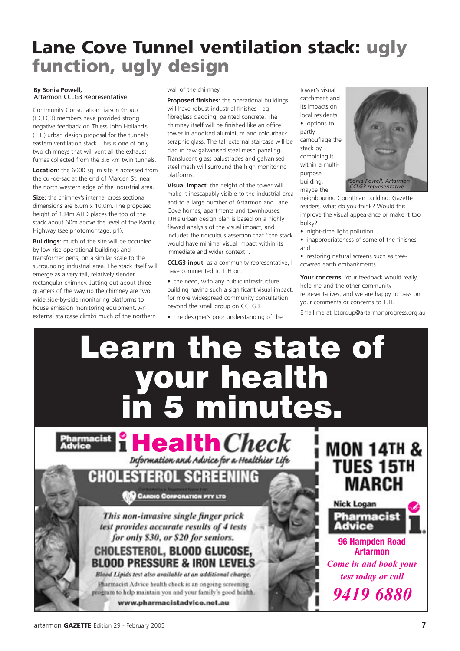## **Lane Cove Tunnel ventilation stack: ugly function, ugly design**

#### **By Sonia Powell,** Artarmon CCLG3 Representative

Community Consultation Liaison Group (CCLG3) members have provided strong negative feedback on Thiess John Holland's (TJH) urban design proposal for the tunnel's eastern ventilation stack. This is one of only two chimneys that will vent all the exhaust fumes collected from the 3.6 km twin tunnels.

**Location**: the 6000 sq. m site is accessed from the cul-de-sac at the end of Marden St, near the north western edge of the industrial area.

**Size**: the chimney's internal cross sectional dimensions are 6.0m x 10.0m. The proposed height of 134m AHD places the top of the stack about 60m above the level of the Pacific Highway (see photomontage, p1).

**Buildings**: much of the site will be occupied by low-rise operational buildings and transformer pens, on a similar scale to the surrounding industrial area. The stack itself will emerge as a very tall, relatively slender rectangular chimney. Jutting out about threequarters of the way up the chimney are two wide side-by-side monitoring platforms to house emission monitoring equipment. An external staircase climbs much of the northern

wall of the chimney.

**Proposed finishes**: the operational buildings will have robust industrial finishes - eg fibreglass cladding, painted concrete. The chimney itself will be finished like an office tower in anodised aluminium and colourback seraphic glass. The tall external staircase will be clad in raw galvanised steel mesh paneling. Translucent glass balustrades and galvanised steel mesh will surround the high monitoring platforms.

**Visual impact**: the height of the tower will make it inescapably visible to the industrial area and to a large number of Artarmon and Lane Cove homes, apartments and townhouses. TJH's urban design plan is based on a highly flawed analysis of the visual impact, and includes the ridiculous assertion that "the stack would have minimal visual impact within its immediate and wider context".

**CCLG3 input**: as a community representative, I have commented to TJH on:

- the need, with any public infrastructure building having such a significant visual impact, for more widespread community consultation beyond the small group on CCLG3
- the designer's poor understanding of the

tower's visual catchment and its impacts on local residents • options to partly camouflage the stack by combining it within a multipurpose building, maybe the



neighbouring Corinthian building. Gazette readers, what do you think? Would this improve the visual appearance or make it too bulky?

• night-time light pollution

• inappropriateness of some of the finishes, and

• restoring natural screens such as treecovered earth embankments.

**Your concerns**: Your feedback would really help me and the other community representatives, and we are happy to pass on your comments or concerns to TJH.

Email me at lctgroup@artarmonprogress.org.au

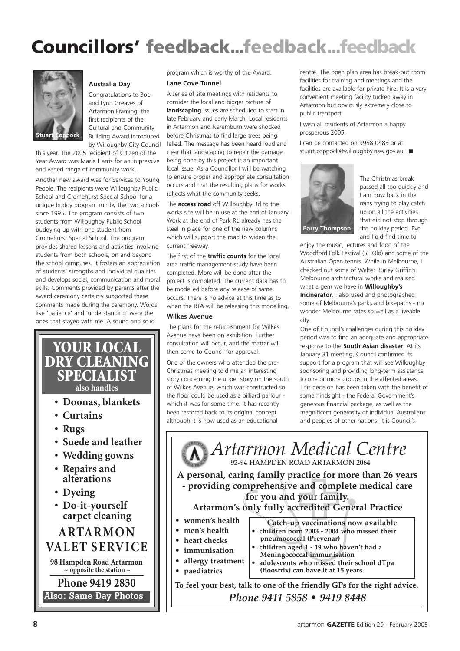## **Councillors' feedback...feedback...feedback**



### **Australia Day**

Congratulations to Bob and Lynn Greaves of Artarmon Framing, the first recipients of the Cultural and Community Building Award introduced by Willoughby City Council

this year. The 2005 recipient of Citizen of the Year Award was Marie Harris for an impressive and varied range of community work.

Another new award was for Services to Young People. The recipients were Willoughby Public School and Cromehurst Special School for a unique buddy program run by the two schools since 1995. The program consists of two students from Willoughby Public School buddying up with one student from Cromehurst Special School. The program provides shared lessons and activities involving students from both schools, on and beyond the school campuses. It fosters an appreciation of students' strengths and individual qualities and develops social, communication and moral skills. Comments provided by parents after the award ceremony certainly supported these comments made during the ceremony. Words like 'patience' and 'understanding' were the ones that stayed with me. A sound and solid

## **ARTARMON VALET SERVICE YOUR LOCAL DRY CLEANING SPECIALIST also handles 98 Hampden Road Artarmon • Doonas, blankets • Curtains • Rugs • Suede and leather • Wedding gowns • Repairs and alterations • Dyeing • Do-it-yourself carpet cleaning**

**Phone 9419 2830 ~ opposite the station ~**

**Also: Same Day Photos**

program which is worthy of the Award.

#### **Lane Cove Tunnel**

A series of site meetings with residents to consider the local and bigger picture of **landscaping** issues are scheduled to start in late February and early March. Local residents in Artarmon and Naremburn were shocked before Christmas to find large trees being felled. The message has been heard loud and clear that landscaping to repair the damage being done by this project is an important local issue. As a Councillor I will be watching to ensure proper and appropriate consultation occurs and that the resulting plans for works reflects what the community seeks.

The **access road** off Willoughby Rd to the works site will be in use at the end of January. Work at the end of Park Rd already has the steel in place for one of the new columns which will support the road to widen the current freeway.

The first of the **traffic counts** for the local area traffic management study have been completed. More will be done after the project is completed. The current data has to be modelled before any release of same occurs. There is no advice at this time as to when the RTA will be releasing this modelling.

### **Wilkes Avenue**

The plans for the refurbishment for Wilkes Avenue have been on exhibition. Further consultation will occur, and the matter will then come to Council for approval.

One of the owners who attended the pre-Christmas meeting told me an interesting story concerning the upper story on the south of Wilkes Avenue, which was constructed so the floor could be used as a billiard parlour which it was for some time. It has recently been restored back to its original concept although it is now used as an educational

centre. The open plan area has break-out room facilities for training and meetings and the facilities are available for private hire. It is a very convenient meeting facility tucked away in Artarmon but obviously extremely close to public transport.

I wish all residents of Artarmon a happy prosperous 2005.

I can be contacted on 9958 0483 or at stuart.coppock@willoughby.nsw.gov.au ■



The Christmas break passed all too quickly and I am now back in the reins trying to play catch up on all the activities that did not stop through the holiday period. Eve and I did find time to

enjoy the music, lectures and food of the Woodford Folk Festival (SE Qld) and some of the Australian Open tennis. While in Melbourne, I checked out some of Walter Burley Griffin's Melbourne architectural works and realised what a gem we have in **Willoughby's Incinerator**. I also used and photographed some of Melbourne's parks and bikepaths - no wonder Melbourne rates so well as a liveable city.

One of Council's challenges during this holiday period was to find an adequate and appropriate response to the **South Asian disaster**. At its January 31 meeting, Council confirmed its support for a program that will see Willoughby sponsoring and providing long-term assistance to one or more groups in the affected areas. This decision has been taken with the benefit of some hindsight - the Federal Government's generous financial package, as well as the magnificent generosity of individual Australians and peoples of other nations. It is Council's

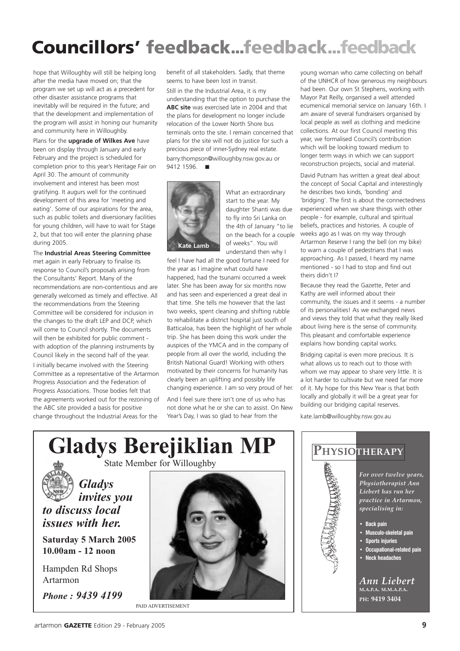## **Councillors' feedback...feedback...feedback**

hope that Willoughby will still be helping long after the media have moved on; that the program we set up will act as a precedent for other disaster assistance programs that inevitably will be required in the future; and that the development and implementation of the program will assist in honing our humanity and community here in Willoughby.

Plans for the **upgrade of Wilkes Ave** have been on display through January and early February and the project is scheduled for completion prior to this year's Heritage Fair on April 30. The amount of community involvement and interest has been most gratifying. It augurs well for the continued development of this area for 'meeting and eating'. Some of our aspirations for the area, such as public toilets and diversionary facilities for young children, will have to wait for Stage 2, but that too will enter the planning phase during 2005.

The **Industrial Areas Steering Committee**

met again in early February to finalise its response to Council's proposals arising from the Consultants' Report. Many of the recommendations are non-contentious and are generally welcomed as timely and effective. All the recommendations from the Steering Committee will be considered for inclusion in the changes to the draft LEP and DCP, which will come to Council shortly. The documents will then be exhibited for public comment with adoption of the planning instruments by Council likely in the second half of the year.

I initially became involved with the Steering Committee as a representative of the Artarmon Progress Association and the Federation of Progress Associations. Those bodies felt that the agreements worked out for the rezoning of the ABC site provided a basis for positive change throughout the Industrial Areas for the

benefit of all stakeholders. Sadly, that theme seems to have been lost in transit.

Still in the the Industrial Area, it is my understanding that the option to purchase the **ABC site** was exercised late in 2004 and that the plans for development no longer include relocation of the Lower North Shore bus terminals onto the site. I remain concerned that plans for the site will not do justice for such a precious piece of inner-Sydney real estate. barry.thompson@willoughby.nsw.gov.au or 9412 1596 **■** 



What an extraordinary start to the year. My daughter Shanti was due to fly into Sri Lanka on the 4th of January "to lie on the beach for a couple of weeks". You will understand then why I

feel I have had all the good fortune I need for the year as I imagine what could have happened, had the tsunami occurred a week later. She has been away for six months now and has seen and experienced a great deal in that time. She tells me however that the last two weeks, spent cleaning and shifting rubble to rehabilitate a district hospital just south of Batticaloa, has been the highlight of her whole trip. She has been doing this work under the auspices of the YMCA and in the company of people from all over the world, including the British National Guard! Working with others motivated by their concerns for humanity has clearly been an uplifting and possibly life changing experience. I am so very proud of her.

And I feel sure there isn't one of us who has not done what he or she can to assist. On New Year's Day, I was so glad to hear from the

young woman who came collecting on behalf of the UNHCR of how generous my neighbours had been. Our own St Stephens, working with Mayor Pat Reilly, organised a well attended ecumenical memorial service on January 16th. I am aware of several fundraisers organised by local people as well as clothing and medicine collections. At our first Council meeting this year, we formalised Council's contribution which will be looking toward medium to longer term ways in which we can support reconstruction projects, social and material.

David Putnam has written a great deal about the concept of Social Capital and interestingly he describes two kinds, 'bonding' and 'bridging'. The first is about the connectedness experienced when we share things with other people - for example, cultural and spiritual beliefs, practices and histories. A couple of weeks ago as I was on my way through Artarmon Reserve I rang the bell (on my bike) to warn a couple of pedestrians that I was approaching. As I passed, I heard my name mentioned - so I had to stop and find out theirs didn't I?

Because they read the Gazette, Peter and Kathy are well informed about their community, the issues and it seems - a number of its personalities! As we exchanged news and views they told that what they really liked about living here is the sense of community. This pleasant and comfortable experience explains how bonding capital works.

Bridging capital is even more precious. It is what allows us to reach out to those with whom we may appear to share very little. It is a lot harder to cultivate but we need far more of it. My hope for this New Year is that both locally and globally it will be a great year for building our bridging capital reserves.

kate.lamb@willoughby.nsw.gov.au



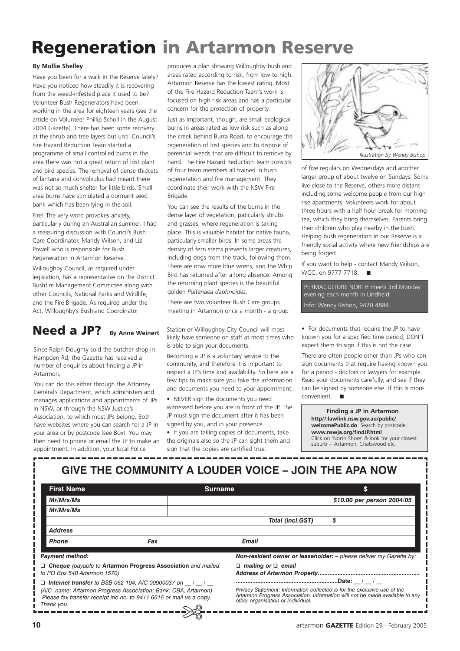## **Regeneration in Artarmon Reserve**

### **By Mollie Shelley**

Have you been for a walk in the Reserve lately? Have you noticed how steadily it is recovering from the weed-infested place it used to be? Volunteer Bush Regenerators have been working in the area for eighteen years (see the article on Volunteer Phillip Scholl in the August 2004 Gazette). There has been some recovery at the shrub and tree layers but until Council's Fire Hazard Reduction Team started a programme of small controlled burns in the area there was not a great return of lost plant and bird species. The removal of dense thickets of lantana and convolvulus had meant there was not so much shelter for little birds. Small area burns have stimulated a dormant seed bank which has been lying in the soil.

Fire! The very word provokes anxiety, particularly during an Australian summer. I had a reassuring discussion with Council's Bush Care Coordinator, Mandy Wilson, and Liz Powell who is responsible for Bush Regeneration in Artarmon Reserve.

Willoughby Council, as required under legislation, has a representative on the District Bushfire Management Committee along with other Councils, National Parks and Wildlife, and the Fire Brigade. As required under the Act, Willoughby's Bushland Coordinator

#### **Need a JP? By Anne Weinert**

Since Ralph Doughty sold the butcher shop in Hampden Rd, the Gazette has received a number of enquiries about finding a JP in Artarmon.

You can do this either through the Attorney General's Department, which administers and manages applications and appointments of JPs in NSW, or through the NSW Justice's Association, to which most JPs belong. Both have websites where you can search for a JP in your area or by postcode (see Box). You may then need to phone or email the JP to make an appointment. In addition, your local Police

produces a plan showing Willoughby bushland areas rated according to risk, from low to high. Artarmon Reserve has the lowest rating. Most of the Fire Hazard Reduction Team's work is focused on high risk areas and has a particular concern for the protection of property.

Just as important, though, are small ecological burns in areas rated as low risk such as along the creek behind Burra Road, to encourage the regeneration of lost species and to dispose of perennial weeds that are difficult to remove by hand. The Fire Hazard Reduction Team consists of four team members all trained in bush regeneration and fire management. They coordinate their work with the NSW Fire **Brigade** 

You can see the results of the burns in the dense layer of vegetation, paticularly shrubs and grasses, where regeneration is taking place. This is valuable habitat for native fauna, particularly smaller birds. In some areas the density of fern stems prevents larger creatures, including dogs from the track, following them. There are now more blue wrens, and the Whip Bird has returned after a long absence. Among the returning plant species is the beautiful golden *Pultenaea daphnoides.*

There are two volunteer Bush Care groups meeting in Artarmon once a month - a group

Station or Willoughby City Council will most likely have someone on staff at most times who is able to sign your documents.

Becoming a JP is a voluntary service to the community, and therefore it is important to respect a JP's time and availability. So here are a few tips to make sure you take the information and documents you need to your appointment:

• NEVER sign the documents you need witnessed before you are in front of the JP. The JP must sign the document after it has been signed by you, and in your presence.

• If you are taking copies of documents, take the originals also so the JP can sight them and sign that the copies are certified true.



of five regulars on Wednesdays and another larger group of about twelve on Sundays. Some live close to the Reserve, others more distant including some welcome people from our high rise apartments. Volunteers work for about three hours with a half hour break for morning tea, which they bring themselves. Parents bring their children who play nearby in the bush. Helping bush regeneration in our Reserve is a friendly social activity where new friendships are being forged.

If you want to help - contact Mandy Wilson, WCC, on 9777 7718. ■

PERMACULTURE NORTH meets 3rd Monday evening each month in Lindfield. Info: Wendy Bishop, 9420 4884.

• For documents that require the JP to have known you for a specified time period, DON'T expect them to sign if this is not the case.

There are often people other than JPs who can sign documents that require having known you for a period - doctors or lawyers for example. Read your documents carefully, and see if they can be signed by someone else if this is more convenient. ■

**Finding a JP in Artarmon http//:lawlink.nsw.gov.au/public/ welcomePublic.do** Search by postcode. **www.nswja.org/findJP.html** Click on 'North Shore' & look for your closest suburb -- Artarmon, Chatswood etc.

|                                                                                                                                                                                                                     | GIVE THE COMMUNITY A LOUDER VOICE - JOIN THE APA NOW          |                                                                                                                                                                                               |                                                                    |
|---------------------------------------------------------------------------------------------------------------------------------------------------------------------------------------------------------------------|---------------------------------------------------------------|-----------------------------------------------------------------------------------------------------------------------------------------------------------------------------------------------|--------------------------------------------------------------------|
| <b>First Name</b>                                                                                                                                                                                                   | <b>Surname</b>                                                |                                                                                                                                                                                               | S                                                                  |
| Mr/Mrs/Ms                                                                                                                                                                                                           |                                                               |                                                                                                                                                                                               | \$10.00 per person 2004/05                                         |
| Mr/Mrs/Ms                                                                                                                                                                                                           |                                                               |                                                                                                                                                                                               |                                                                    |
|                                                                                                                                                                                                                     |                                                               | Total (incl.GST)                                                                                                                                                                              | S                                                                  |
| <b>Address</b>                                                                                                                                                                                                      |                                                               |                                                                                                                                                                                               |                                                                    |
| <b>Phone</b>                                                                                                                                                                                                        | Fax                                                           | <b>Email</b>                                                                                                                                                                                  |                                                                    |
| <b>Payment method:</b>                                                                                                                                                                                              |                                                               |                                                                                                                                                                                               | Non-resident owner or leaseholder: - please deliver my Gazette by: |
| to PO Box 540 Artarmon 1570)                                                                                                                                                                                        | □ Cheque (payable to Artarmon Progress Association and mailed | $\Box$ mailing or $\Box$ email                                                                                                                                                                |                                                                    |
| $\Box$ Internet transfer to BSB 062-104, A/C 00900037 on    <br>(A/C name: Artarmon Progress Association; Bank: CBA, Artarmon)<br>Please fax transfer receipt inc no. to 9411 6616 or mail us a copy.<br>Thank you. |                                                               | Privacy Statement: Information collected is for the exclusive use of the<br>Artarmon Progress Association. Information will not be made available to any<br>other organisation or individual. |                                                                    |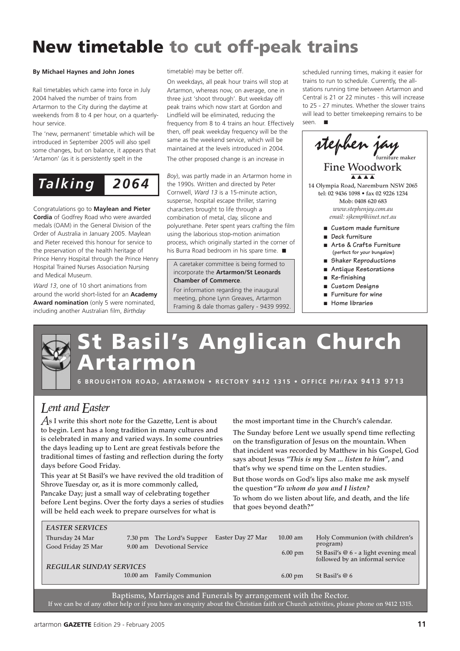## **New timetable to cut off-peak trains**

Rail timetables which came into force in July 2004 halved the number of trains from Artarmon to the City during the daytime at weekends from 8 to 4 per hour, on a quarterlyhour service.

The 'new, permanent' timetable which will be introduced in September 2005 will also spell some changes, but on balance, it appears that 'Artamon' (as it is persistently spelt in the



Congratulations go to **Maylean and Pieter Cordia** of Godfrey Road who were awarded medals (OAM) in the General Division of the Order of Australia in January 2005. Maylean and Pieter received this honour for service to the preservation of the health heritage of Prince Henry Hospital through the Prince Henry Hospital Trained Nurses Association Nursing and Medical Museum.

*Ward 13*, one of 10 short animations from around the world short-listed for an **Academy Award nomination** (only 5 were nominated, including another Australian film, *Birthday*

timetable) may be better off.

On weekdays, all peak hour trains will stop at Artarmon, whereas now, on average, one in three just 'shoot through'. But weekday off peak trains which now start at Gordon and Lindfield will be eliminated, reducing the frequency from 8 to 4 trains an hour. Effectively then, off peak weekday frequency will be the same as the weekend service, which will be maintained at the levels introduced in 2004. The other proposed change is an increase in

*Boy*), was partly made in an Artarmon home in the 1990s. Written and directed by Peter Cornwell, *Ward 13* is a 15-minute action, suspense, hospital escape thriller, starring characters brought to life through a combination of metal, clay, silicone and polyurethane. Peter spent years crafting the film using the laborious stop-motion animation process, which originally started in the corner of his Burra Road bedroom in his spare time. ■

A caretaker committee is being formed to incorporate the **Artarmon/St Leonards Chamber of Commerce**.

For information regarding the inaugural meeting, phone Lynn Greaves, Artarmon Framing & dale thomas gallery - 9439 9992.

By Michael Haynes and John Jones **stace of the Unity of the Unity Coney of the Scheduled running times, making it easier for** trains to run to schedule. Currently, the allstations running time between Artarmon and Central is 21 or 22 minutes - this will increase to 25 - 27 minutes. Whether the slower trains will lead to better timekeeping remains to be seen. ■

stephen jay **furniture maker Fine Woodwork** ■ Custom made furniture ■ **Deck furniture** ■ **Arts & Crafts Furniture (perfect for your bungalow) 14 Olympia Road, Naremburn NSW 2065 tel: 02 9436 1098 • fax 02 9226 1234 Mob: 0408 620 683** *www.stephenjay.com.au email: sjkemp@iinet.net.au* ▲▲▲▲

- **Shaker Reproductions**
- **Antique Restorations**
- **Re-finishing**
- **Custom Designs**
- Furniture for wine
- **Home libraries**

## **St Basil's Anglican Church Artarmon**

**6 BROUGHTON ROAD, ARTARMON • RECTORY 9412 1315 • OFFICE PH/FAX 9413 9713**

## *Lent and Easter*

*A***s I write this short note for the Gazette, Lent is about to begin. Lent has a long tradition in many cultures and is celebrated in many and varied ways. In some countries the days leading up to Lent are great festivals before the traditional times of fasting and reflection during the forty days before Good Friday.**

**This year at St Basil's we have revived the old tradition of Shrove Tuesday or, as it is more commonly called, Pancake Day; just a small way of celebrating together before Lent begins. Over the forty days a series of studies will be held each week to prepare ourselves for what is**

**the most important time in the Church's calendar.**

**The Sunday before Lent we usually spend time reflecting on the transfiguration of Jesus on the mountain. When that incident was recorded by Matthew in his Gospel, God says about Jesus** *"This is my Son ... listen to him"***, and that's why we spend time on the Lenten studies.**

**But those words on God's lips also make me ask myself the question "***To whom do you and I listen?* **To whom do we listen about life, and death, and the life that goes beyond death?"**

|                                | 10.00 am Family Communion  |                   | $6.00 \text{ pm}$ | St Basil's $@6$                             |
|--------------------------------|----------------------------|-------------------|-------------------|---------------------------------------------|
| <b>REGULAR SUNDAY SERVICES</b> |                            |                   |                   | followed by an informal service             |
| Good Friday 25 Mar             | 9.00 am Devotional Service |                   | $6.00 \text{ pm}$ | St Basil's @ 6 - a light evening meal       |
| Thursday 24 Mar                | 7.30 pm The Lord's Supper  | Easter Day 27 Mar | $10.00$ am        | Holy Communion (with children's<br>program) |
| <b>EASTER SERVICES</b>         |                            |                   |                   |                                             |

**Baptisms, Marriages and Funerals by arrangement with the Rector. If we can be of any other help or if you have an enquiry about the Christian faith or Church activities, please phone on 9412 1315.**